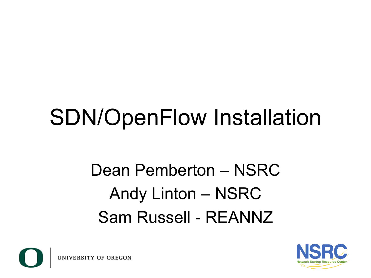# SDN/OpenFlow Installation

#### Dean Pemberton – NSRC Andy Linton – NSRC Sam Russell - REANNZ



UNIVERSITY OF OREGON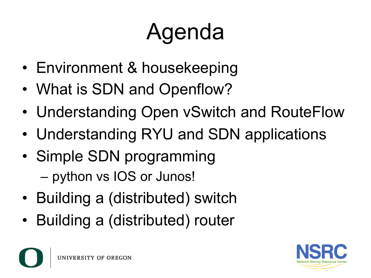# Agenda

- Environment & housekeeping
- What is SDN and Openflow?
- Understanding Open vSwitch and RouteFlow
- Understanding RYU and SDN applications
- Simple SDN programming
	- python vs IOS or Junos!
- Building a (distributed) switch
- Building a (distributed) router

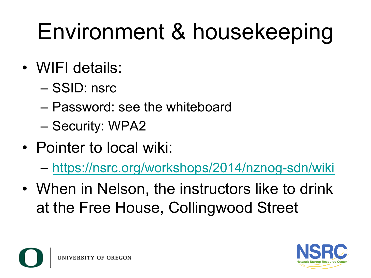# Environment & housekeeping

- WIFI details:
	- SSID: nsrc
	- Password: see the whiteboard
	- Security: WPA2
- Pointer to local wiki:
	- https://nsrc.org/workshops/2014/nznog-sdn/wiki
- When in Nelson, the instructors like to drink at the Free House, Collingwood Street



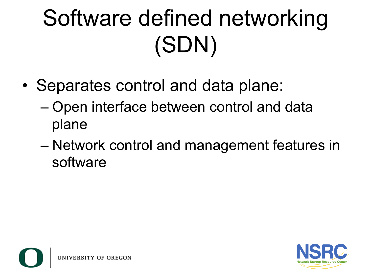# Software defined networking (SDN)

- Separates control and data plane:
	- Open interface between control and data plane
	- Network control and management features in software

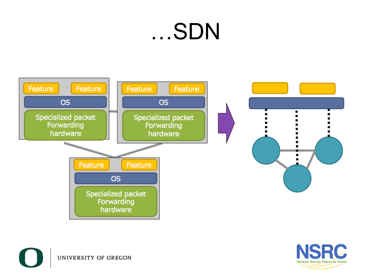### …SDN





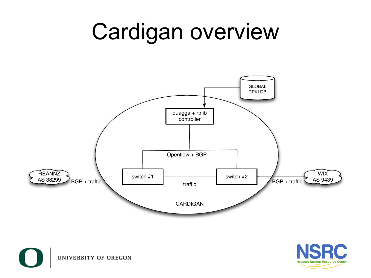### Cardigan overview





UNIVERSITY OF OREGON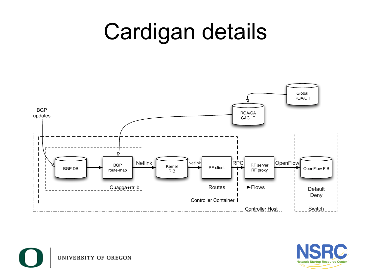### Cardigan details





UNIVERSITY OF OREGON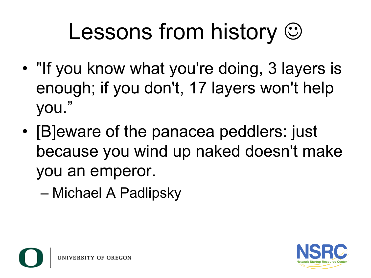# Lessons from history  $\odot$

- "If you know what you're doing, 3 layers is enough; if you don't, 17 layers won't help you."
- [B]eware of the panacea peddlers: just because you wind up naked doesn't make you an emperor.

– Michael A Padlipsky

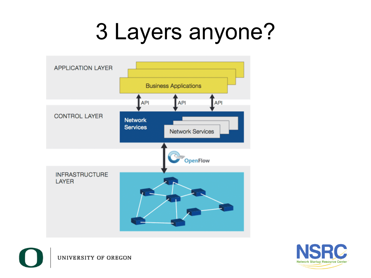### 3 Layers anyone?





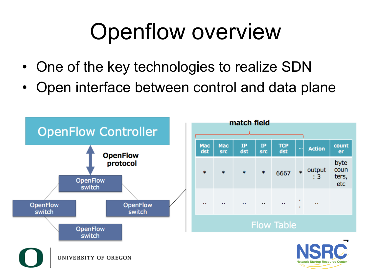### Openflow overview

- One of the key technologies to realize SDN
- Open interface between control and data plane